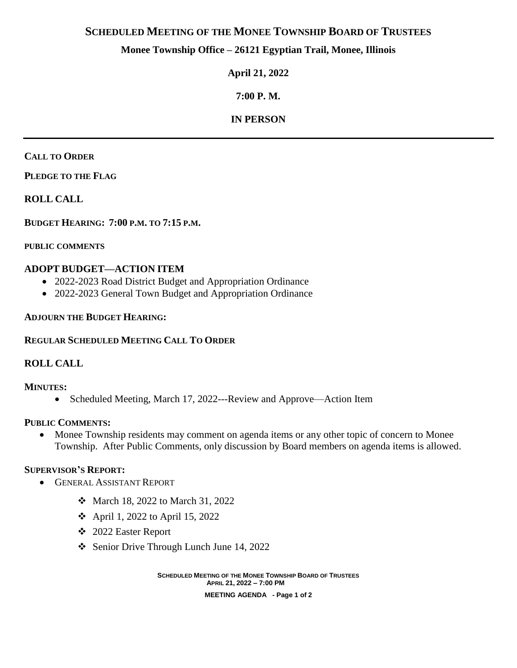## **SCHEDULED MEETING OF THE MONEE TOWNSHIP BOARD OF TRUSTEES**

## **Monee Township Office – 26121 Egyptian Trail, Monee, Illinois**

## **April 21, 2022**

# **7:00 P. M.**

## **IN PERSON**

#### **CALL TO ORDER**

**PLEDGE TO THE FLAG**

### **ROLL CALL**

**BUDGET HEARING: 7:00 P.M. TO 7:15 P.M.**

#### **PUBLIC COMMENTS**

#### **ADOPT BUDGET—ACTION ITEM**

- 2022-2023 Road District Budget and Appropriation Ordinance
- 2022-2023 General Town Budget and Appropriation Ordinance

#### **ADJOURN THE BUDGET HEARING:**

### **REGULAR SCHEDULED MEETING CALL TO ORDER**

## **ROLL CALL**

### **MINUTES:**

• Scheduled Meeting, March 17, 2022---Review and Approve—Action Item

#### **PUBLIC COMMENTS:**

• Monee Township residents may comment on agenda items or any other topic of concern to Monee Township. After Public Comments, only discussion by Board members on agenda items is allowed.

#### **SUPERVISOR'S REPORT:**

- **GENERAL ASSISTANT REPORT** 
	- March 18, 2022 to March 31, 2022
	- April 1, 2022 to April 15, 2022
	- 2022 Easter Report
	- Senior Drive Through Lunch June 14, 2022

**SCHEDULED MEETING OF THE MONEE TOWNSHIP BOARD OF TRUSTEES APRIL 21, 2022 – 7:00 PM MEETING AGENDA - Page 1 of 2**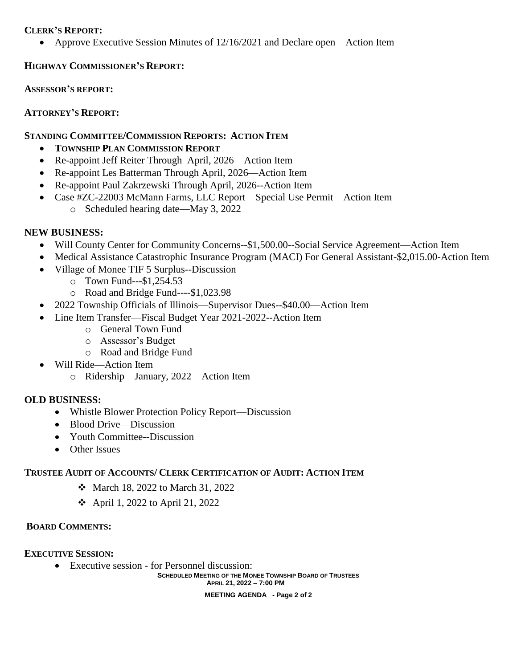### **CLERK'S REPORT:**

Approve Executive Session Minutes of 12/16/2021 and Declare open—Action Item

## **HIGHWAY COMMISSIONER'S REPORT:**

#### **ASSESSOR'S REPORT:**

## **ATTORNEY'S REPORT:**

### **STANDING COMMITTEE/COMMISSION REPORTS: ACTION ITEM**

- **TOWNSHIP PLAN COMMISSION REPORT**
- Re-appoint Jeff Reiter Through April, 2026—Action Item
- Re-appoint Les Batterman Through April, 2026—Action Item
- Re-appoint Paul Zakrzewski Through April, 2026--Action Item
- Case #ZC-22003 McMann Farms, LLC Report—Special Use Permit—Action Item
	- o Scheduled hearing date—May 3, 2022

## **NEW BUSINESS:**

- Will County Center for Community Concerns--\$1,500.00--Social Service Agreement—Action Item
- Medical Assistance Catastrophic Insurance Program (MACI) For General Assistant-\$2,015.00-Action Item
- Village of Monee TIF 5 Surplus--Discussion
	- o Town Fund---\$1,254.53
	- o Road and Bridge Fund----\$1,023.98
- 2022 Township Officials of Illinois—Supervisor Dues--\$40.00—Action Item
- Line Item Transfer—Fiscal Budget Year 2021-2022--Action Item
	- o General Town Fund
	- o Assessor's Budget
	- o Road and Bridge Fund
- Will Ride—Action Item
	- o Ridership—January, 2022—Action Item

## **OLD BUSINESS:**

- Whistle Blower Protection Policy Report—Discussion
- Blood Drive—Discussion
- Youth Committee--Discussion
- Other Issues

### **TRUSTEE AUDIT OF ACCOUNTS/ CLERK CERTIFICATION OF AUDIT: ACTION ITEM**

- March 18, 2022 to March 31, 2022
- April 1, 2022 to April 21, 2022

### **BOARD COMMENTS:**

### **EXECUTIVE SESSION:**

Executive session - for Personnel discussion:

**SCHEDULED MEETING OF THE MONEE TOWNSHIP BOARD OF TRUSTEES APRIL 21, 2022 – 7:00 PM**

#### **MEETING AGENDA - Page 2 of 2**